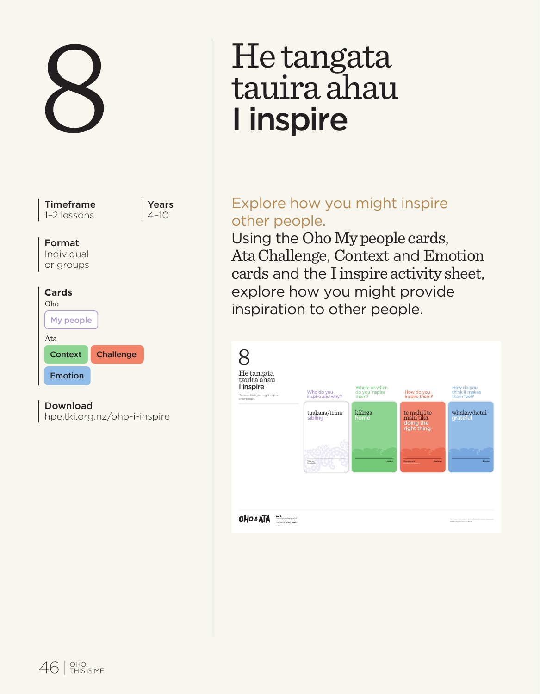

Download

# He tangata<br>tauira ahau I inspire

# Explore how you might inspire other people.

Using the Oho My people cards, Ata Challenge, Context and Emotion cards and the I inspire activity sheet, explore how you might provide inspiration to other people.

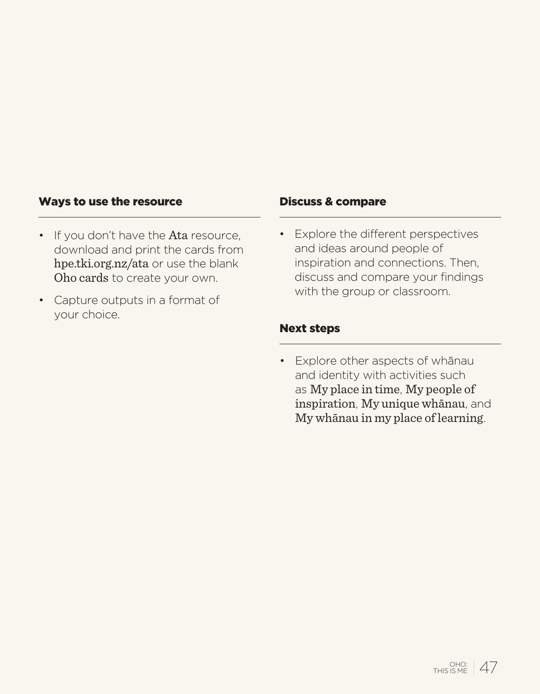#### Ways to use the resource

- If you don't have the Ata resource. download and print the cards from hpe.tki.org.nz/ata or use the blank Oho cards to create your own.
- Capture outputs in a format of your choice.

#### Discuss & compare

• Explore the different perspectives and ideas around people of inspiration and connections. Then, discuss and compare your findings with the group or classroom.

#### Next steps

• Explore other aspects of whānau and identity with activities such as My place in time, My people of inspiration, My unique whānau, and My whānau in my place of learning.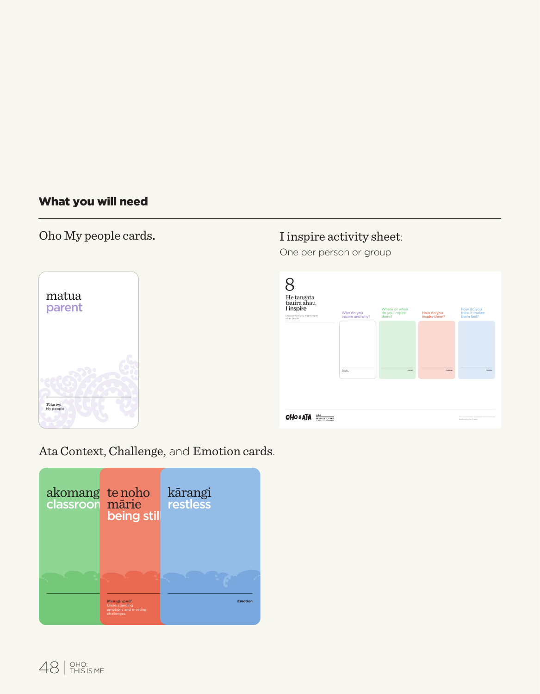# What you will need

# Oho My people cards.



# I inspire activity sheet:

One per person or group

| He tangata<br>tauira ahau<br>I inspire<br>Discover haw you might inspire<br>other people. | Who do you<br>inspire and why? | Where or when<br>do you inspire<br>them? | How do you<br>inspire them? | How do you<br>think it makes<br>them feel?                                             |
|-------------------------------------------------------------------------------------------|--------------------------------|------------------------------------------|-----------------------------|----------------------------------------------------------------------------------------|
|                                                                                           | TRANS<br><b>William</b>        | <b>Service</b>                           | more                        | suns.                                                                                  |
| <b>OHO &amp; ATA</b><br>$\frac{1}{2}$                                                     |                                |                                          |                             | the manufacturers and archive all other team and<br>Total Microsoft College Laboratory |

Ata Context, Challenge, and Emotion cards.